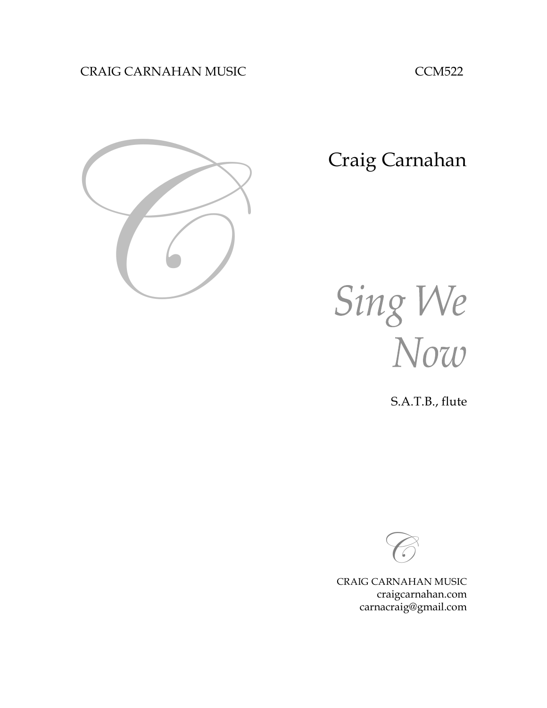CRAIG CARNAHAN MUSIC CCM522



Craig Carnahan<br>
Sing We<br>
Now

S.A.T.B., flute



CRAIG CARNAHAN MUSIC craigcarnahan.com carnacraig@gmail.com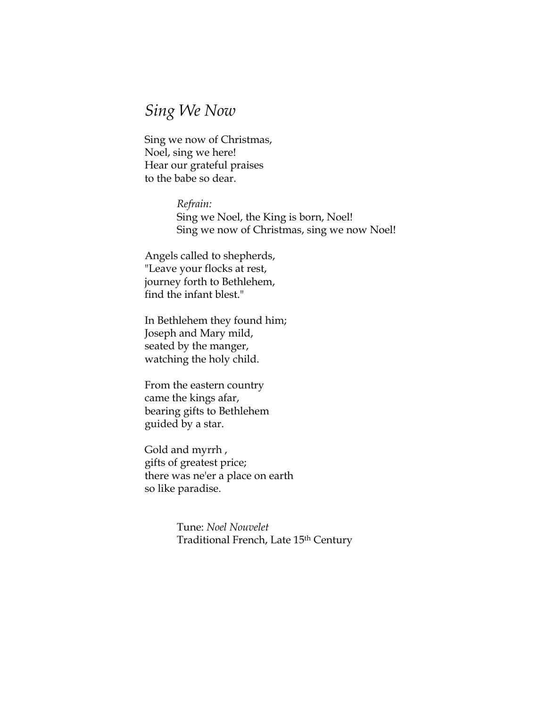Sing we now of Christmas, Noel, sing we here! Hear our grateful praises to the babe so dear.

> *Refrain:* Sing we Noel, the King is born, Noel! Sing we now of Christmas, sing we now Noel!

Angels called to shepherds, "Leave your flocks at rest, journey forth to Bethlehem, find the infant blest."

In Bethlehem they found him; Joseph and Mary mild, seated by the manger, watching the holy child.

From the eastern country came the kings afar, bearing gifts to Bethlehem guided by a star.

Gold and myrrh , gifts of greatest price; there was ne'er a place on earth so like paradise.

> Tune: *Noel Nouvelet* Traditional French, Late 15<sup>th</sup> Century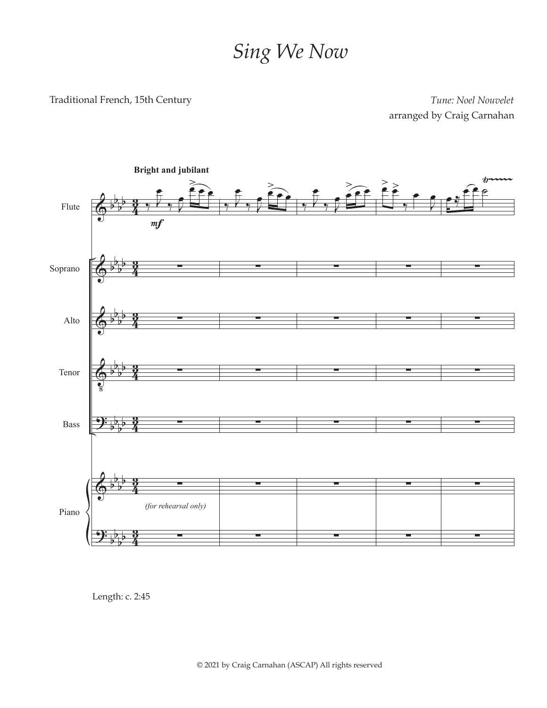#### Traditional French, 15th Century

#### *Tune: Noel Nouvelet* arranged by Craig Carnahan



Length: c. 2:45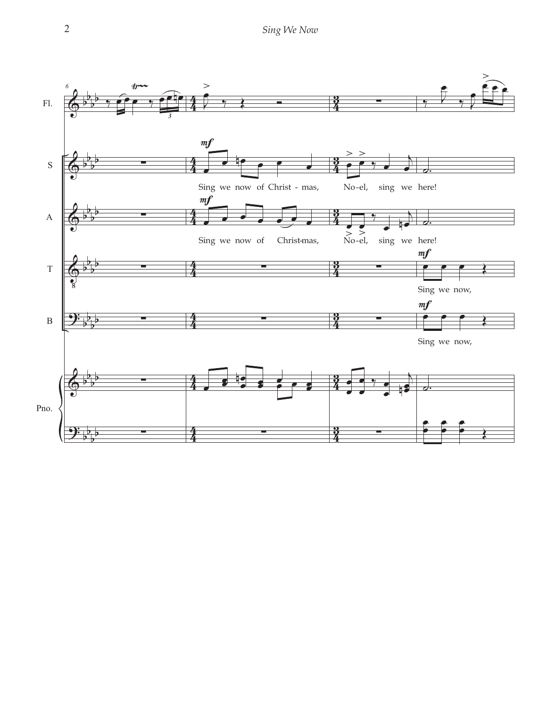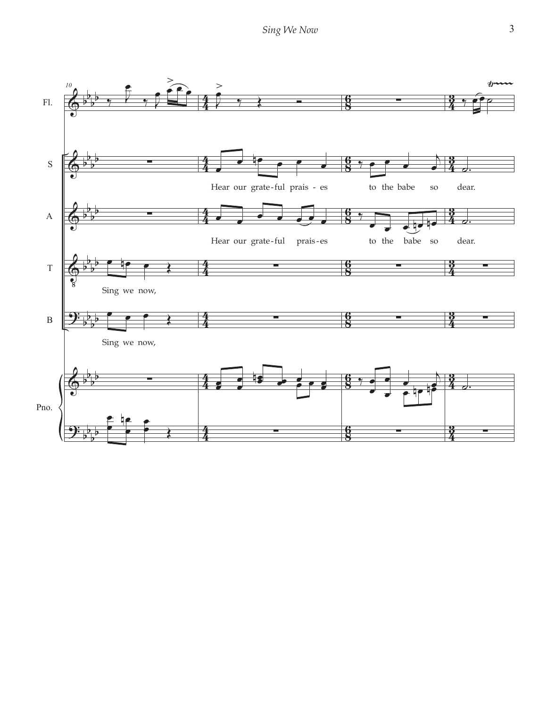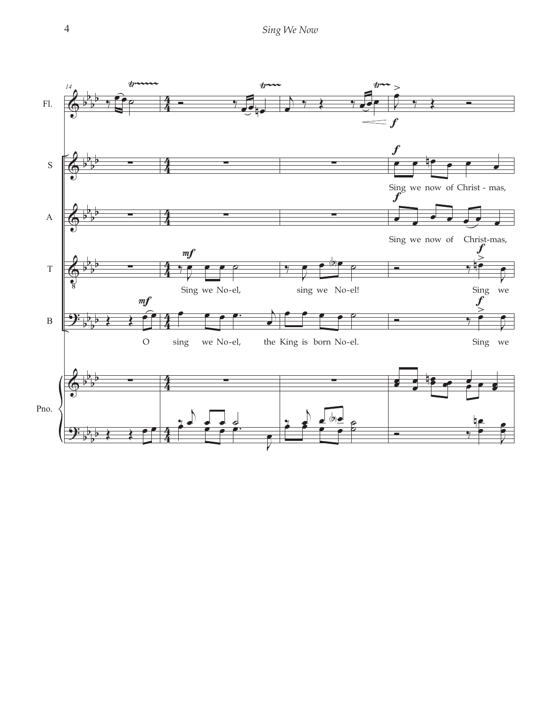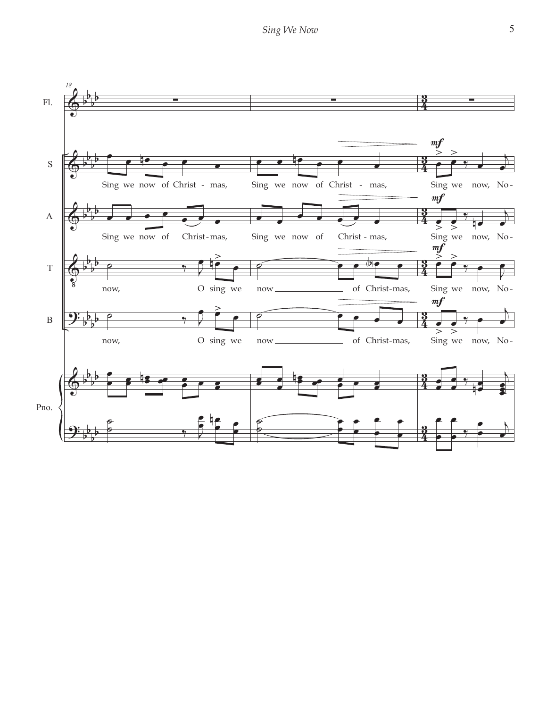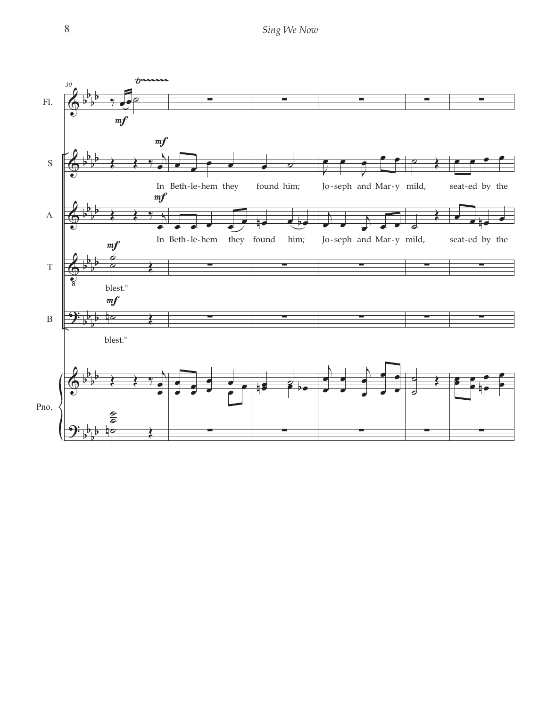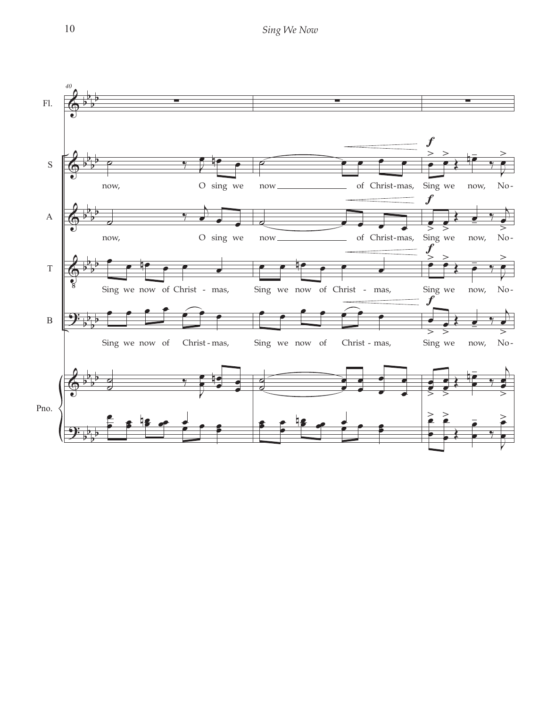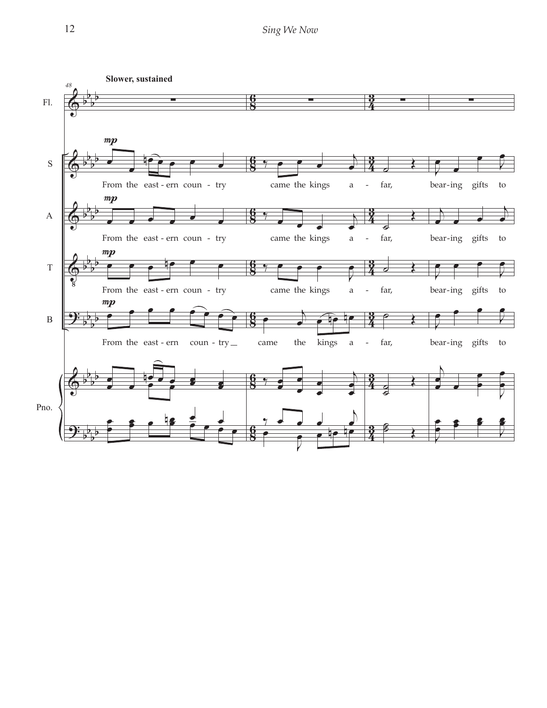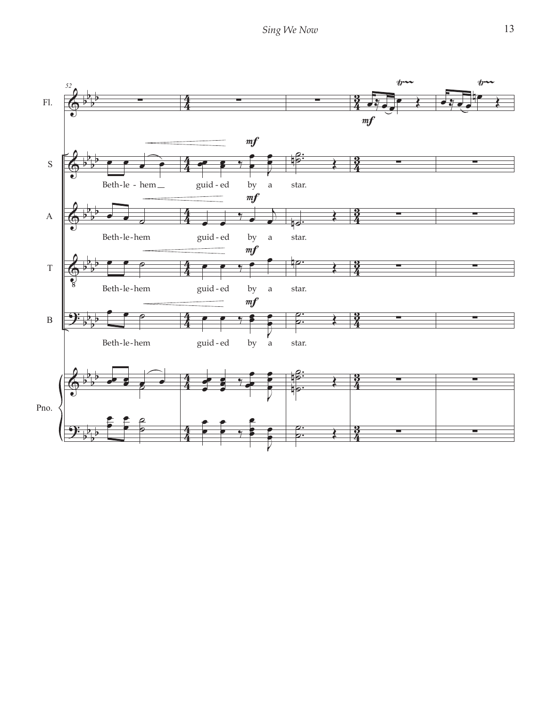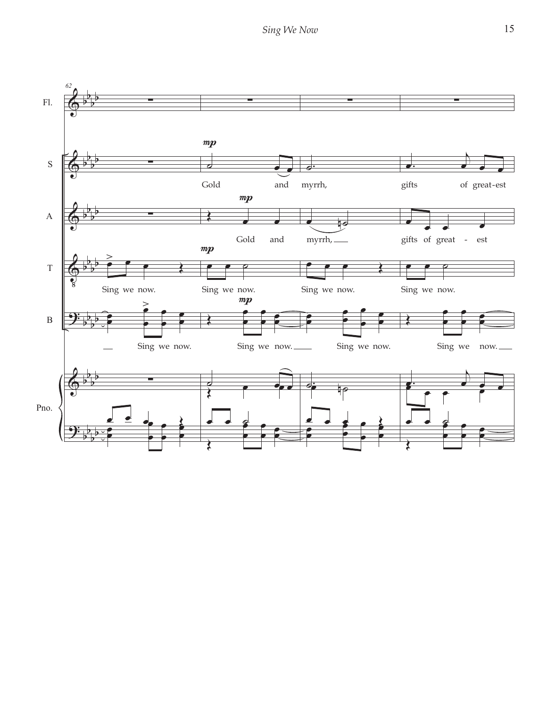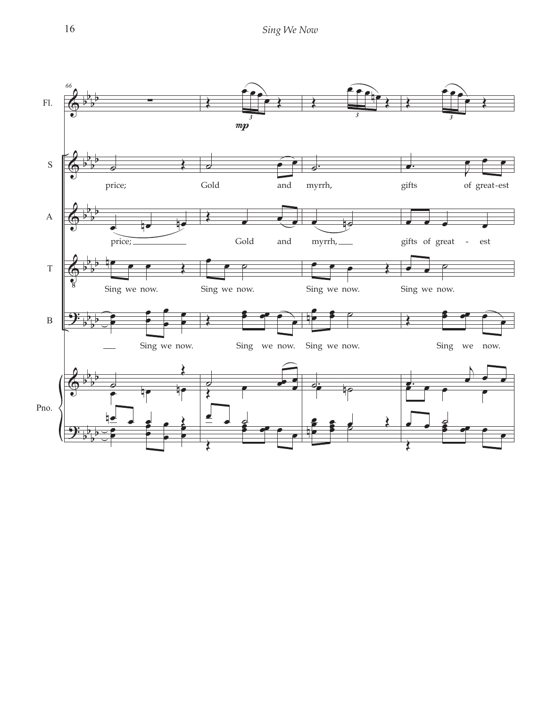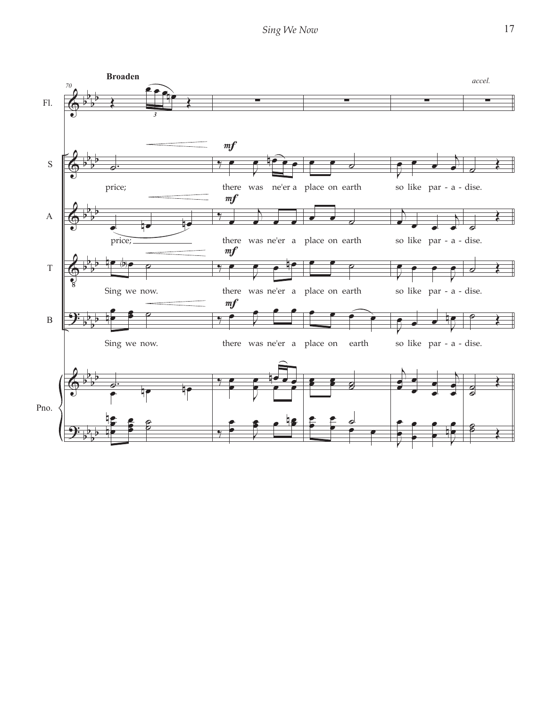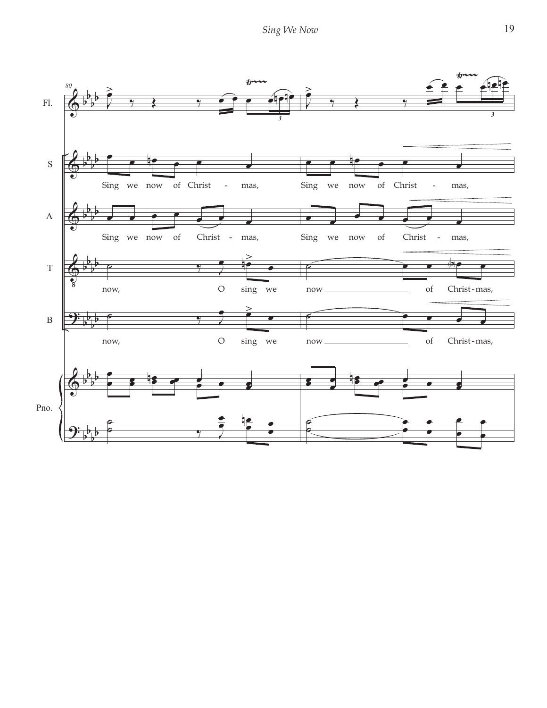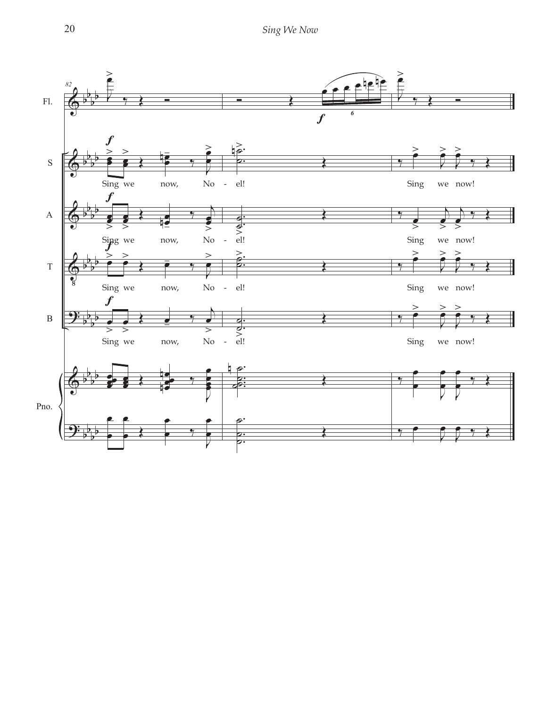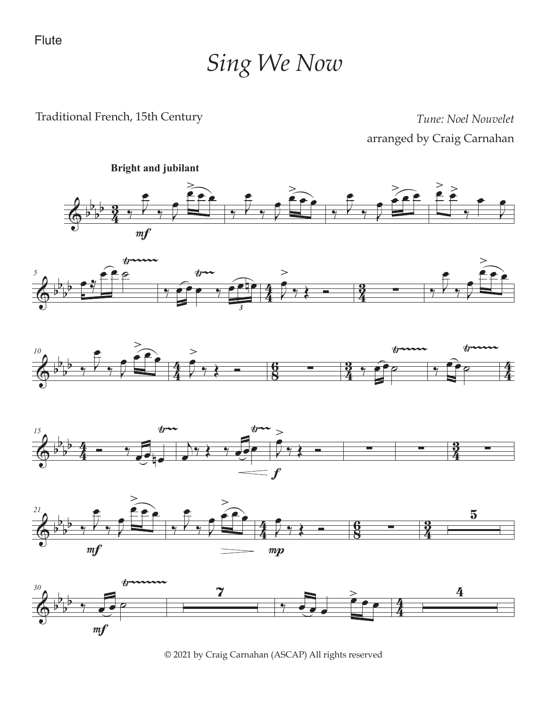Flute

# *Sing We Now*

#### Traditional French, 15th Century

*Tune: Noel Nouvelet* arranged by Craig Carnahan



#### $\overline{\Phi^{\flat}}$ b b b  $\frac{4}{4}$ 4  $\frac{3}{4}$ <u>သူ</u>  $\begin{array}{ccc}\n & & \text{if } & \\
\frac{5}{2} & & \text{if } & \\
\frac{1}{2} & & \text{if } & \\
\frac{1}{2} & & \text{if } & \\
\frac{1}{2} & & \text{if } & \\
\frac{1}{2} & & \text{if } & \\
\frac{1}{2} & & \text{if } & \\
\frac{1}{2} & & \text{if } & \\
\frac{1}{2} & & \text{if } & \\
\frac{1}{2} & & \text{if } & \\
\frac{1}{2} & & \text{if } & \\
\frac{1}{2} & & \text{if } & \\
\frac{1}{2} & & \text{if } & \\
\frac{1}{2} & & \text$  $\mathbf{\hat{e}}$   $\mathbf{\hat{e}}$   $\mathbf{\hat{e}}$  $\frac{1}{2}$ *3* J œ  $\geq$  $\frac{6}{7}$   $\frac{3}{4}$   $\frac{6}{7}$   $\frac{1}{7}$ œ  $\frac{1}{2}$ œ œ  $\geq$ è.









© 2021 by Craig Carnahan (ASCAP) All rights reserved